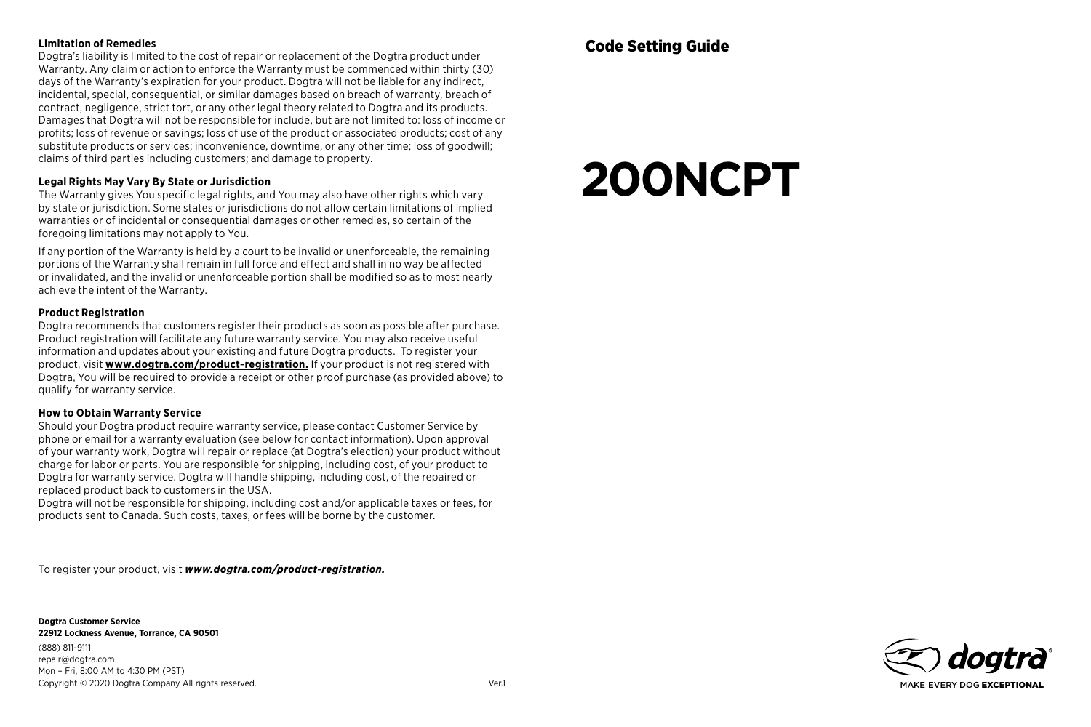#### **Limitation of Remedies**

Dogtra's liability is limited to the cost of repair or replacement of the Dogtra product under Warranty. Any claim or action to enforce the Warranty must be commenced within thirty (30) days of the Warranty's expiration for your product. Dogtra will not be liable for any indirect, incidental, special, consequential, or similar damages based on breach of warranty, breach of contract, negligence, strict tort, or any other legal theory related to Dogtra and its products. Damages that Dogtra will not be responsible for include, but are not limited to: loss of income or profits; loss of revenue or savings; loss of use of the product or associated products; cost of any substitute products or services; inconvenience, downtime, or any other time; loss of goodwill; claims of third parties including customers; and damage to property.

#### **Legal Rights May Vary By State or Jurisdiction**

The Warranty gives You specific legal rights, and You may also have other rights which vary by state or jurisdiction. Some states or jurisdictions do not allow certain limitations of implied warranties or of incidental or consequential damages or other remedies, so certain of the foregoing limitations may not apply to You.

If any portion of the Warranty is held by a court to be invalid or unenforceable, the remaining portions of the Warranty shall remain in full force and effect and shall in no way be affected or invalidated, and the invalid or unenforceable portion shall be modified so as to most nearly achieve the intent of the Warranty.

#### **Product Registration**

Dogtra recommends that customers register their products as soon as possible after purchase. Product registration will facilitate any future warranty service. You may also receive useful information and updates about your existing and future Dogtra products. To register your product, visit **www.dogtra.com/product-registration.** If your product is not registered with Dogtra, You will be required to provide a receipt or other proof purchase (as provided above) to qualify for warranty service.

#### **How to Obtain Warranty Service**

Should your Dogtra product require warranty service, please contact Customer Service by phone or email for a warranty evaluation (see below for contact information). Upon approval of your warranty work, Dogtra will repair or replace (at Dogtra's election) your product without charge for labor or parts. You are responsible for shipping, including cost, of your product to Dogtra for warranty service. Dogtra will handle shipping, including cost, of the repaired or replaced product back to customers in the USA.

Dogtra will not be responsible for shipping, including cost and/or applicable taxes or fees, for products sent to Canada. Such costs, taxes, or fees will be borne by the customer.

To register your product, visit *www.dogtra.com/product-registration.*

**Dogtra Customer Service 22912 Lockness Avenue, Torrance, CA 90501** (888) 811-9111 repair@dogtra.com Mon – Fri, 8:00 AM to 4:30 PM (PST) Copyright © 2020 Dogtra Company All rights reserved. Ver.1

# **200NCPT**